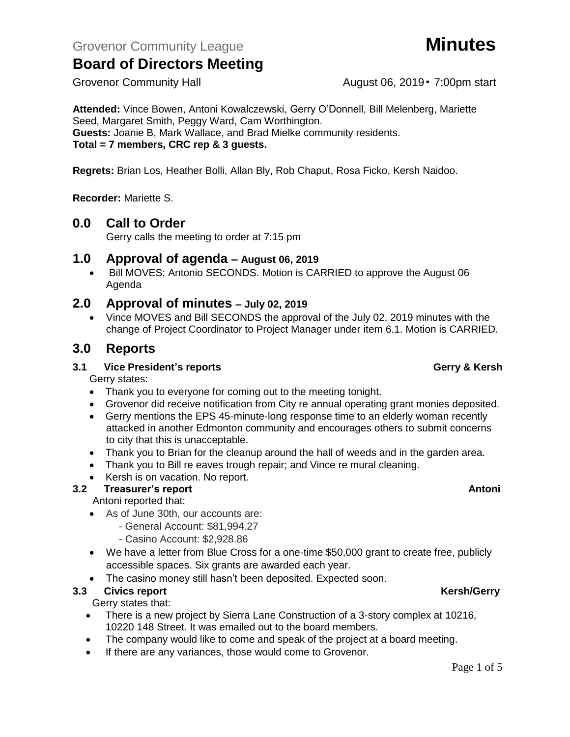Grovenor Community Hall **August 06, 2019** • 7:00pm start

**Attended:** Vince Bowen, Antoni Kowalczewski, Gerry O'Donnell, Bill Melenberg, Mariette Seed, Margaret Smith, Peggy Ward, Cam Worthington. **Guests:** Joanie B, Mark Wallace, and Brad Mielke community residents. **Total = 7 members, CRC rep & 3 guests.**

**Regrets:** Brian Los, Heather Bolli, Allan Bly, Rob Chaput, Rosa Ficko, Kersh Naidoo.

**Recorder:** Mariette S.

## **0.0 Call to Order**

Gerry calls the meeting to order at 7:15 pm

### **1.0 Approval of agenda – August 06, 2019**

• Bill MOVES; Antonio SECONDS. Motion is CARRIED to approve the August 06 Agenda

## **2.0 Approval of minutes – July 02, 2019**

• Vince MOVES and Bill SECONDS the approval of the July 02, 2019 minutes with the change of Project Coordinator to Project Manager under item 6.1. Motion is CARRIED.

# **3.0 Reports**

### **3.1 Vice President's reports Gerry & Kersh**

Gerry states:

- Thank you to everyone for coming out to the meeting tonight.
- Grovenor did receive notification from City re annual operating grant monies deposited.
- Gerry mentions the EPS 45-minute-long response time to an elderly woman recently attacked in another Edmonton community and encourages others to submit concerns to city that this is unacceptable.
- Thank you to Brian for the cleanup around the hall of weeds and in the garden area.
- Thank you to Bill re eaves trough repair; and Vince re mural cleaning.
- Kersh is on vacation. No report.

### **3.2 Treasurer's report Antonic Stream Antonic Stream Antonic Stream Antonic Stream Antonic Antonic Antonic Antoni**

### Antoni reported that:

- As of June 30th, our accounts are:
	- General Account: \$81,994.27
	- Casino Account: \$2,928.86
- We have a letter from Blue Cross for a one-time \$50,000 grant to create free, publicly accessible spaces. Six grants are awarded each year.
- The casino money still hasn't been deposited. Expected soon.

### **3.3** Civics report **Kersh/Gerry**

Gerry states that:

- There is a new project by Sierra Lane Construction of a 3-story complex at 10216, 10220 148 Street. It was emailed out to the board members.
- The company would like to come and speak of the project at a board meeting.
- If there are any variances, those would come to Grovenor.

### Page 1 of 5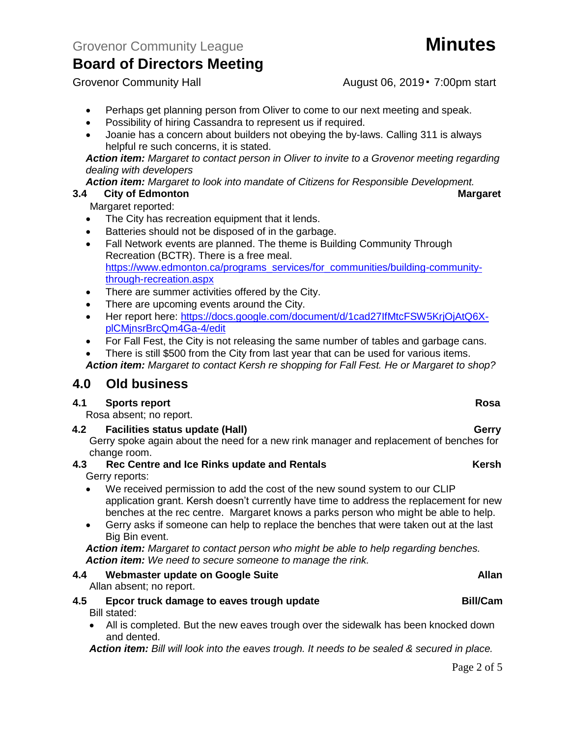Grovenor Community Hall **August 06, 2019** • 7:00pm start

- Perhaps get planning person from Oliver to come to our next meeting and speak.
- Possibility of hiring Cassandra to represent us if required.
- Joanie has a concern about builders not obeying the by-laws. Calling 311 is always helpful re such concerns, it is stated.

*Action item: Margaret to contact person in Oliver to invite to a Grovenor meeting regarding dealing with developers*

### *Action item: Margaret to look into mandate of Citizens for Responsible Development.*

## **3.4 City of Edmonton Margaret**

Margaret reported:

- The City has recreation equipment that it lends.
- Batteries should not be disposed of in the garbage.
- Fall Network events are planned. The theme is Building Community Through Recreation (BCTR). There is a free meal. [https://www.edmonton.ca/programs\\_services/for\\_communities/building-community](https://www.edmonton.ca/programs_services/for_communities/building-community-through-recreation.aspx)[through-recreation.aspx](https://www.edmonton.ca/programs_services/for_communities/building-community-through-recreation.aspx)
- There are summer activities offered by the City.
- There are upcoming events around the City.
- Her report here: [https://docs.google.com/document/d/1cad27IfMtcFSW5KrjOjAtQ6X](https://docs.google.com/document/d/1cad27IfMtcFSW5KrjOjAtQ6X-plCMjnsrBrcQm4Ga-4/edit)[plCMjnsrBrcQm4Ga-4/edit](https://docs.google.com/document/d/1cad27IfMtcFSW5KrjOjAtQ6X-plCMjnsrBrcQm4Ga-4/edit)
- For Fall Fest, the City is not releasing the same number of tables and garbage cans.

There is still \$500 from the City from last year that can be used for various items.

*Action item: Margaret to contact Kersh re shopping for Fall Fest. He or Margaret to shop?*

# **4.0 Old business**

## **4.1 Sports report Rosa**

Rosa absent; no report.

**4.2 Facilities status update (Hall) Geometric Contract Contract Contract Contract Contract Contract Contract Contract Contract Contract Contract Contract Contract Contract Contract Contract Contract Contract Contract** 

Gerry spoke again about the need for a new rink manager and replacement of benches for change room.

## **4.3 Rec Centre and Ice Rinks update and Rentals Kersh**

Gerry reports:

- We received permission to add the cost of the new sound system to our CLIP application grant. Kersh doesn't currently have time to address the replacement for new benches at the rec centre. Margaret knows a parks person who might be able to help.
- Gerry asks if someone can help to replace the benches that were taken out at the last Big Bin event.

*Action item: Margaret to contact person who might be able to help regarding benches. Action item: We need to secure someone to manage the rink.*

# **4.4 Webmaster update on Google Suite Allan**

Allan absent; no report.

### **4.5 Epcor truck damage to eaves trough update Bill/Cam** Bill stated:

• All is completed. But the new eaves trough over the sidewalk has been knocked down and dented.

*Action item: Bill will look into the eaves trough. It needs to be sealed & secured in place.*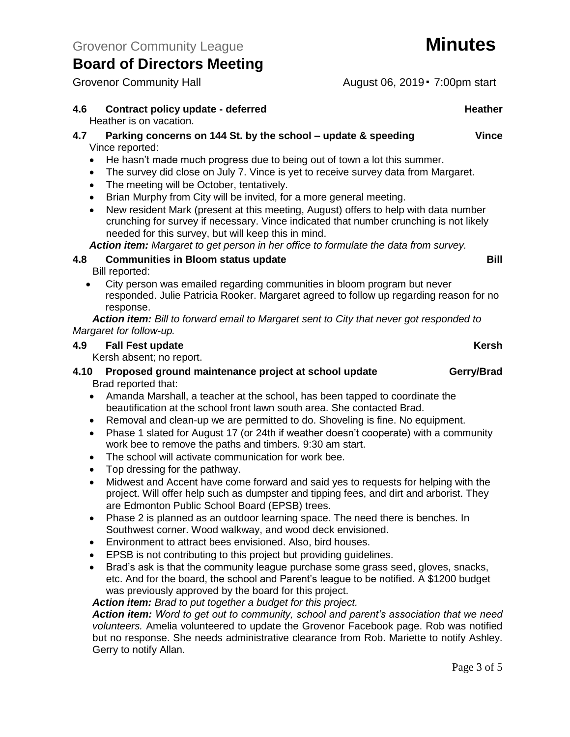Grovenor Community Hall **August 06, 2019** • 7:00pm start

### **4.6 Contract policy update - deferred Heather** Heather is on vacation.

- **4.7 Parking concerns on 144 St. by the school – update & speeding Vince** Vince reported:
	- He hasn't made much progress due to being out of town a lot this summer.
	- The survey did close on July 7. Vince is yet to receive survey data from Margaret.
	- The meeting will be October, tentatively.
	- Brian Murphy from City will be invited, for a more general meeting.
	- New resident Mark (present at this meeting, August) offers to help with data number crunching for survey if necessary. Vince indicated that number crunching is not likely needed for this survey, but will keep this in mind.

*Action item: Margaret to get person in her office to formulate the data from survey.*

# **4.8 Communities in Bloom status update Bill**

Bill reported:

• City person was emailed regarding communities in bloom program but never responded. Julie Patricia Rooker. Margaret agreed to follow up regarding reason for no response.

*Action item: Bill to forward email to Margaret sent to City that never got responded to Margaret for follow-up.*

### **4.9 Fall Fest update Kersh**

Kersh absent; no report.

### **4.10 Proposed ground maintenance project at school update Gerry/Brad** Brad reported that:

- Amanda Marshall, a teacher at the school, has been tapped to coordinate the beautification at the school front lawn south area. She contacted Brad.
- Removal and clean-up we are permitted to do. Shoveling is fine. No equipment.
- Phase 1 slated for August 17 (or 24th if weather doesn't cooperate) with a community work bee to remove the paths and timbers. 9:30 am start.
- The school will activate communication for work bee.
- Top dressing for the pathway.
- Midwest and Accent have come forward and said yes to requests for helping with the project. Will offer help such as dumpster and tipping fees, and dirt and arborist. They are Edmonton Public School Board (EPSB) trees.
- Phase 2 is planned as an outdoor learning space. The need there is benches. In Southwest corner. Wood walkway, and wood deck envisioned.
- Environment to attract bees envisioned. Also, bird houses.
- EPSB is not contributing to this project but providing guidelines.
- Brad's ask is that the community league purchase some grass seed, gloves, snacks, etc. And for the board, the school and Parent's league to be notified. A \$1200 budget was previously approved by the board for this project.

*Action item: Brad to put together a budget for this project.*

*Action item: Word to get out to community, school and parent's association that we need volunteers.* Amelia volunteered to update the Grovenor Facebook page. Rob was notified but no response. She needs administrative clearance from Rob. Mariette to notify Ashley. Gerry to notify Allan.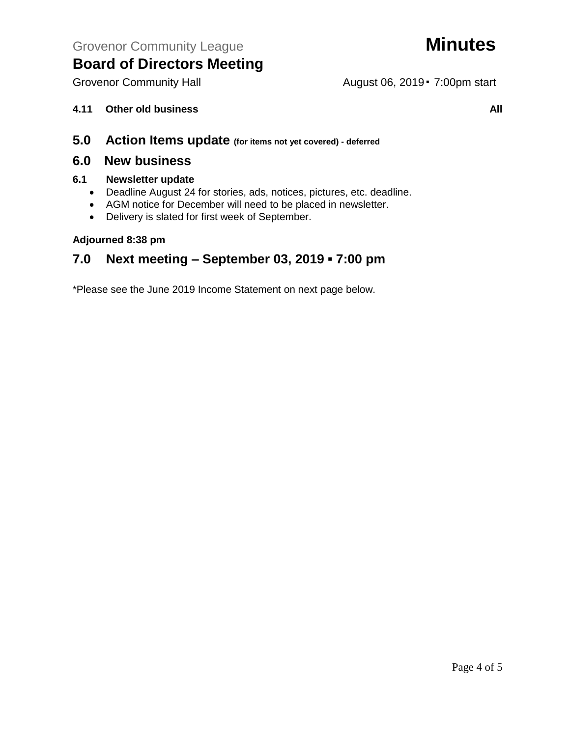**4.11 Other old business All**

- **5.0 Action Items update (for items not yet covered) - deferred**
- **6.0 New business**

### **6.1 Newsletter update**

- Deadline August 24 for stories, ads, notices, pictures, etc. deadline.
- AGM notice for December will need to be placed in newsletter.
- Delivery is slated for first week of September.

### **Adjourned 8:38 pm**

# **7.0 Next meeting – September 03, 2019 ▪ 7:00 pm**

\*Please see the June 2019 Income Statement on next page below.